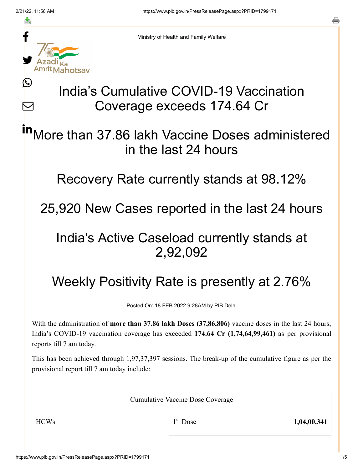≛

Ŀ

 $\bm{\nabla}$ 



Ministry of Health and Family Welfare

# India's Cumulative COVID-19 Vaccination Coverage exceeds 174.64 Cr

More than 37.86 lakh Vaccine Doses administered in the last 24 hours in

Recovery Rate currently stands at 98.12%

25,920 New Cases reported in the last 24 hours

### India's Active Caseload currently stands at 2,92,092

# Weekly Positivity Rate is presently at 2.76%

Posted On: 18 FEB 2022 9:28AM by PIB Delhi

With the administration of **more than 37.86 lakh Doses (37,86,806)** vaccine doses in the last 24 hours, India's COVID-19 vaccination coverage has exceeded **174.64 Cr (1,74,64,99,461)** as per provisional reports till 7 am today.

This has been achieved through 1,97,37,397 sessions. The break-up of the cumulative figure as per the provisional report till 7 am today include:

| <b>Cumulative Vaccine Dose Coverage</b> |            |             |  |
|-----------------------------------------|------------|-------------|--|
| <b>HCWs</b>                             | $1st$ Dose | 1,04,00,341 |  |
|                                         |            |             |  |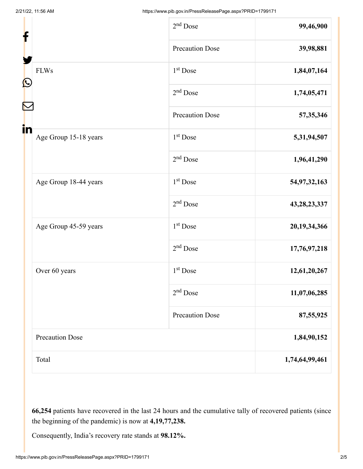| f                 |                        | $2nd$ Dose             | 99,46,900       |
|-------------------|------------------------|------------------------|-----------------|
| $\mathbf{\Omega}$ |                        | <b>Precaution Dose</b> | 39,98,881       |
|                   | <b>FLWs</b>            | 1 <sup>st</sup> Dose   | 1,84,07,164     |
|                   |                        | $2nd$ Dose             | 1,74,05,471     |
|                   |                        | <b>Precaution Dose</b> | 57,35,346       |
| in                | Age Group 15-18 years  | $1st$ Dose             | 5,31,94,507     |
|                   |                        | $2nd$ Dose             | 1,96,41,290     |
|                   | Age Group 18-44 years  | 1 <sup>st</sup> Dose   | 54,97,32,163    |
|                   |                        | $2nd$ Dose             | 43, 28, 23, 337 |
|                   | Age Group 45-59 years  | 1 <sup>st</sup> Dose   | 20,19,34,366    |
|                   |                        | $2nd$ Dose             | 17,76,97,218    |
|                   | Over 60 years          | $1st$ Dose             | 12,61,20,267    |
|                   |                        | $2nd$ Dose             | 11,07,06,285    |
|                   |                        | <b>Precaution Dose</b> | 87,55,925       |
|                   | <b>Precaution Dose</b> |                        | 1,84,90,152     |
|                   | Total                  |                        | 1,74,64,99,461  |

**66,254** patients have recovered in the last 24 hours and the cumulative tally of recovered patients (since the beginning of the pandemic) is now at **4,19,77,238.**

Consequently, India's recovery rate stands at **98.12%.**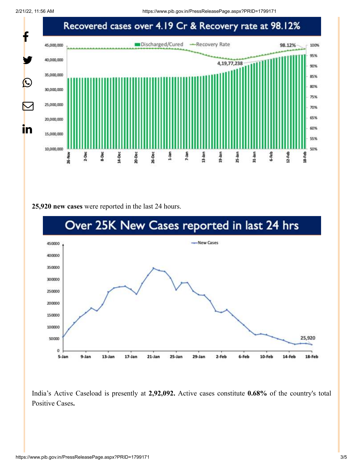2/21/22, 11:56 AM https://www.pib.gov.in/PressReleasePage.aspx?PRID=1799171



#### **25,920 new cases** were reported in the last 24 hours.



India's Active Caseload is presently at **2,92,092.** Active cases constitute **0.68%** of the country's total Positive Cases**.**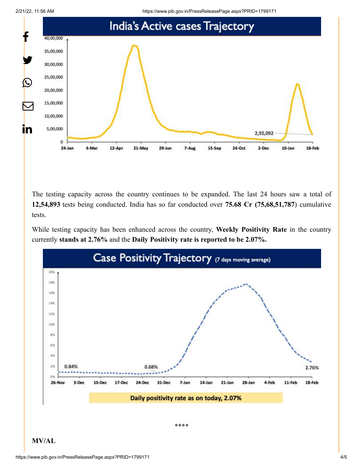



The testing capacity across the country continues to be expanded. The last 24 hours saw a total of **12,54,893** tests being conducted. India has so far conducted over **75.68 Cr (75,68,51,787**) cumulative tests.

While testing capacity has been enhanced across the country, **Weekly Positivity Rate** in the country currently **stands at 2.76%** and the **Daily Positivity rate is reported to be 2.07%.**



**MV/AL**